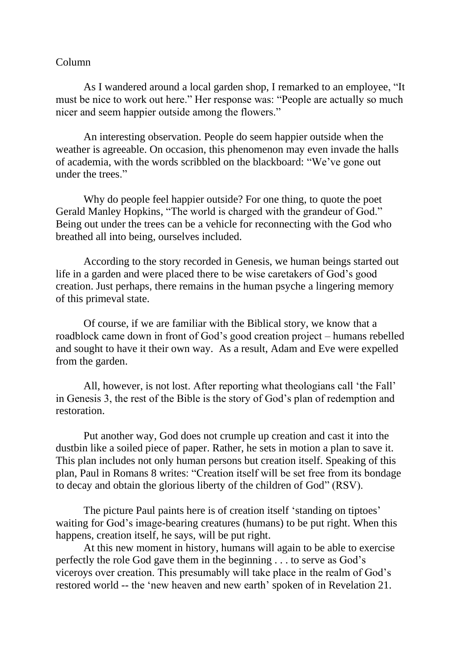## Column

As I wandered around a local garden shop, I remarked to an employee, "It must be nice to work out here." Her response was: "People are actually so much nicer and seem happier outside among the flowers."

An interesting observation. People do seem happier outside when the weather is agreeable. On occasion, this phenomenon may even invade the halls of academia, with the words scribbled on the blackboard: "We've gone out under the trees."

Why do people feel happier outside? For one thing, to quote the poet Gerald Manley Hopkins, "The world is charged with the grandeur of God." Being out under the trees can be a vehicle for reconnecting with the God who breathed all into being, ourselves included.

According to the story recorded in Genesis, we human beings started out life in a garden and were placed there to be wise caretakers of God's good creation. Just perhaps, there remains in the human psyche a lingering memory of this primeval state.

Of course, if we are familiar with the Biblical story, we know that a roadblock came down in front of God's good creation project – humans rebelled and sought to have it their own way. As a result, Adam and Eve were expelled from the garden.

All, however, is not lost. After reporting what theologians call 'the Fall' in Genesis 3, the rest of the Bible is the story of God's plan of redemption and restoration.

Put another way, God does not crumple up creation and cast it into the dustbin like a soiled piece of paper. Rather, he sets in motion a plan to save it. This plan includes not only human persons but creation itself. Speaking of this plan, Paul in Romans 8 writes: "Creation itself will be set free from its bondage to decay and obtain the glorious liberty of the children of God" (RSV).

The picture Paul paints here is of creation itself 'standing on tiptoes' waiting for God's image-bearing creatures (humans) to be put right. When this happens, creation itself, he says, will be put right.

At this new moment in history, humans will again to be able to exercise perfectly the role God gave them in the beginning . . . to serve as God's viceroys over creation. This presumably will take place in the realm of God's restored world -- the 'new heaven and new earth' spoken of in Revelation 21.